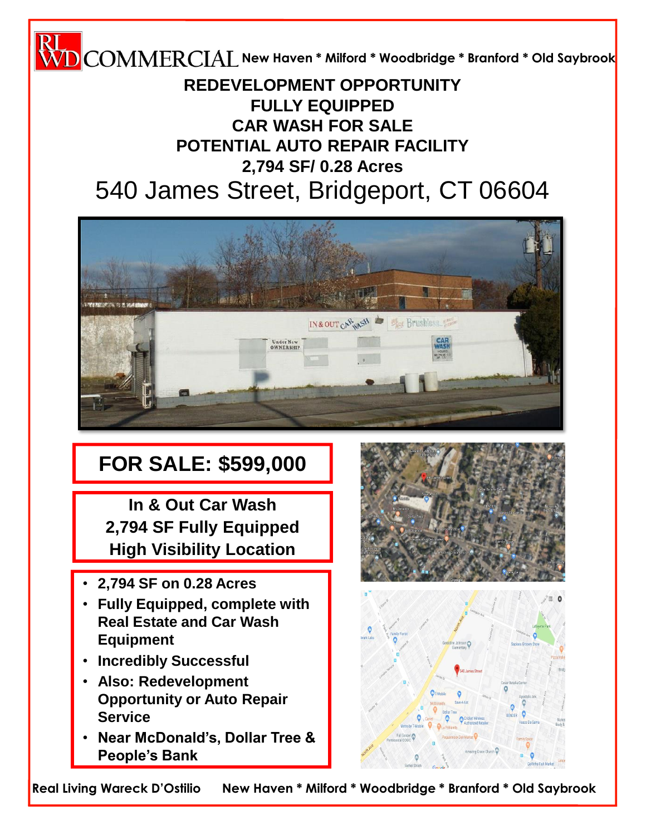**New Haven \* Milford \* Woodbridge \* Branford \* Old Saybrook**

## 540 James Street, Bridgeport, CT 06604 **REDEVELOPMENT OPPORTUNITY FULLY EQUIPPED CAR WASH FOR SALE POTENTIAL AUTO REPAIR FACILITY 2,794 SF/ 0.28 Acres**



# **FOR SALE: \$599,000**

**In & Out Car Wash 2,794 SF Fully Equipped High Visibility Location**

- **2,794 SF on 0.28 Acres**
- **Fully Equipped, complete with Real Estate and Car Wash Equipment**
- **Incredibly Successful**
- **Also: Redevelopment Opportunity or Auto Repair Service**
- **Near McDonald's, Dollar Tree & People's Bank**





**Real Living Wareck D'Ostilio New Haven \* Milford \* Woodbridge \* Branford \* Old Saybrook**